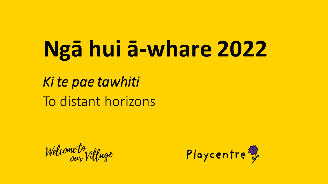# Ngā hui ā-whare 2022

Ki te pae tawhiti To distant horizons

Welcome to<br>our Village

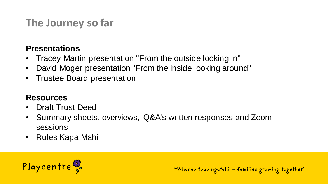# **The Journey so far**

#### **Presentations**

- Tracey Martin presentation "From the outside looking in"
- David Moger presentation "From the inside looking around"
- Trustee Board presentation

#### **Resources**

- Draft Trust Deed
- Summary sheets, overviews, Q&A's written responses and Zoom sessions
- Rules Kapa Mahi



"Whanav tupu ngatahi - families growing together"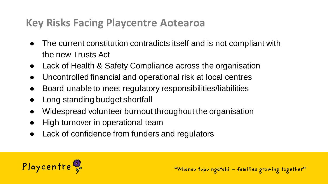## **Key Risks Facing Playcentre Aotearoa**

- The current constitution contradicts itself and is not compliant with the new Trusts Act
- Lack of Health & Safety Compliance across the organisation
- Uncontrolled financial and operational risk at local centres
- Board unable to meet regulatory responsibilities/liabilities
- Long standing budget shortfall
- Widespread volunteer burnout throughout the organisation
- High turnover in operational team
- Lack of confidence from funders and regulators

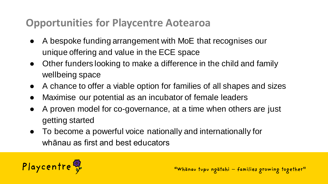## **Opportunities for Playcentre Aotearoa**

- A bespoke funding arrangement with MoE that recognises our unique offering and value in the ECE space
- Other funders looking to make a difference in the child and family wellbeing space
- A chance to offer a viable option for families of all shapes and sizes
- Maximise our potential as an incubator of female leaders
- A proven model for co-governance, at a time when others are just getting started
- To become a powerful voice nationally and internationally for whānau as first and best educators

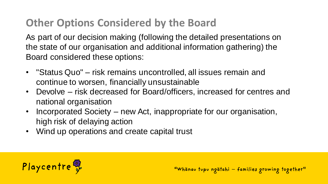# **Other Options Considered by the Board**

As part of our decision making (following the detailed presentations on the state of our organisation and additional information gathering) the Board considered these options:

- "Status Quo" risk remains uncontrolled, all issues remain and continue to worsen, financially unsustainable
- Devolve risk decreased for Board/officers, increased for centres and national organisation
- Incorporated Society new Act, inappropriate for our organisation, high risk of delaying action
- Wind up operations and create capital trust

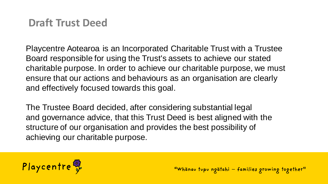#### **Draft Trust Deed**

Playcentre Aotearoa is an Incorporated Charitable Trust with a Trustee Board responsible for using the Trust's assets to achieve our stated charitable purpose. In order to achieve our charitable purpose, we must ensure that our actions and behaviours as an organisation are clearly and effectively focused towards this goal.

The Trustee Board decided, after considering substantial legal and governance advice, that this Trust Deed is best aligned with the structure of our organisation and provides the best possibility of achieving our charitable purpose.

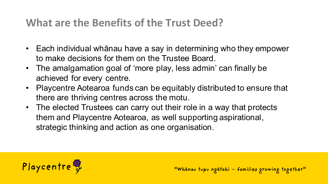## **What are the Benefits of the Trust Deed?**

- Each individual whānau have a say in determining who they empower to make decisions for them on the Trustee Board.
- The amalgamation goal of 'more play, less admin' can finally be achieved for every centre.
- Playcentre Aotearoa funds can be equitably distributed to ensure that there are thriving centres across the motu.
- The elected Trustees can carry out their role in a way that protects them and Playcentre Aotearoa, as well supporting aspirational, strategic thinking and action as one organisation.

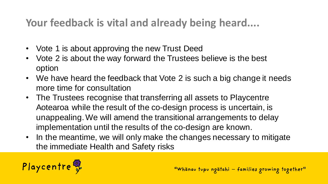# **Your feedback is vital and already being heard....**

- Vote 1 is about approving the new Trust Deed
- Vote 2 is about the way forward the Trustees believe is the best option
- We have heard the feedback that Vote 2 is such a big change it needs more time for consultation
- The Trustees recognise that transferring all assets to Playcentre Aotearoa while the result of the co-design process is uncertain, is unappealing. We will amend the transitional arrangements to delay implementation until the results of the co-design are known.
- In the meantime, we will only make the changes necessary to mitigate the immediate Health and Safety risks